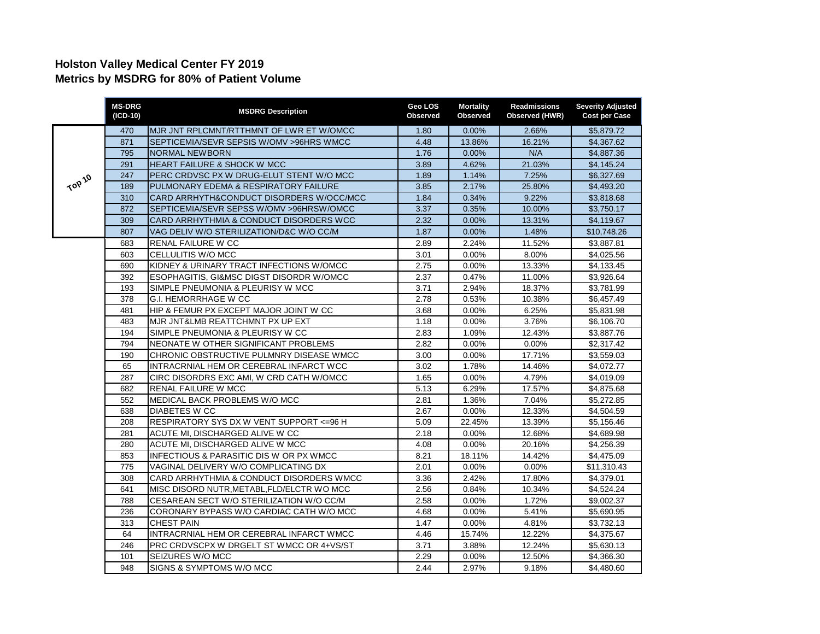## **Holston Valley Medical Center FY 2019 Metrics by MSDRG for 80% of Patient Volume**

|        | <b>MS-DRG</b><br>(ICD-10) | <b>MSDRG Description</b>                   | Geo LOS<br>Observed | <b>Mortality</b><br>Observed | <b>Readmissions</b><br>Observed (HWR) | <b>Severity Adjusted</b><br><b>Cost per Case</b> |
|--------|---------------------------|--------------------------------------------|---------------------|------------------------------|---------------------------------------|--------------------------------------------------|
| TOP 10 | 470                       | MJR JNT RPLCMNT/RTTHMNT OF LWR ET W/OMCC   | 1.80                | 0.00%                        | 2.66%                                 | \$5,879.72                                       |
|        | 871                       | SEPTICEMIA/SEVR SEPSIS W/OMV > 96HRS WMCC  | 4.48                | 13.86%                       | 16.21%                                | \$4.367.62                                       |
|        | 795                       | <b>NORMAL NEWBORN</b>                      | 1.76                | 0.00%                        | N/A                                   | \$4,887.36                                       |
|        | 291                       | HEART FAILURE & SHOCK W MCC                | 3.89                | 4.62%                        | 21.03%                                | \$4,145.24                                       |
|        | 247                       | PERC CRDVSC PX W DRUG-ELUT STENT W/O MCC   | 1.89                | 1.14%                        | 7.25%                                 | \$6,327.69                                       |
|        | 189                       | PULMONARY EDEMA & RESPIRATORY FAILURE      | 3.85                | 2.17%                        | 25.80%                                | \$4,493.20                                       |
|        | 310                       | CARD ARRHYTH&CONDUCT DISORDERS W/OCC/MCC   | 1.84                | 0.34%                        | 9.22%                                 | \$3,818.68                                       |
|        | 872                       | SEPTICEMIA/SEVR SEPSS W/OMV >96HRSW/OMCC   | 3.37                | 0.35%                        | 10.00%                                | \$3,750.17                                       |
|        | 309                       | CARD ARRHYTHMIA & CONDUCT DISORDERS WCC    | 2.32                | 0.00%                        | 13.31%                                | \$4,119.67                                       |
|        | 807                       | VAG DELIV W/O STERILIZATION/D&C W/O CC/M   | 1.87                | 0.00%                        | 1.48%                                 | \$10,748.26                                      |
|        | 683                       | RENAL FAILURE W CC                         | 2.89                | 2.24%                        | 11.52%                                | \$3,887.81                                       |
|        | 603                       | CELLULITIS W/O MCC                         | 3.01                | 0.00%                        | 8.00%                                 | \$4,025.56                                       |
|        | 690                       | KIDNEY & URINARY TRACT INFECTIONS W/OMCC   | 2.75                | 0.00%                        | 13.33%                                | \$4,133.45                                       |
|        | 392                       | ESOPHAGITIS, GI&MSC DIGST DISORDR W/OMCC   | 2.37                | 0.47%                        | 11.00%                                | \$3,926.64                                       |
|        | 193                       | SIMPLE PNEUMONIA & PLEURISY W MCC          | 3.71                | 2.94%                        | 18.37%                                | \$3,781.99                                       |
|        | 378                       | <b>G.I. HEMORRHAGE W CC</b>                | 2.78                | 0.53%                        | 10.38%                                | \$6,457.49                                       |
|        | 481                       | HIP & FEMUR PX EXCEPT MAJOR JOINT W CC     | 3.68                | 0.00%                        | 6.25%                                 | \$5,831.98                                       |
|        | 483                       | MJR JNT&LMB REATTCHMNT PX UP EXT           | 1.18                | 0.00%                        | 3.76%                                 | \$6,106.70                                       |
|        | 194                       | SIMPLE PNEUMONIA & PLEURISY W CC           | 2.83                | 1.09%                        | 12.43%                                | \$3,887.76                                       |
|        | 794                       | NEONATE W OTHER SIGNIFICANT PROBLEMS       | 2.82                | 0.00%                        | 0.00%                                 | \$2,317.42                                       |
|        | 190                       | CHRONIC OBSTRUCTIVE PULMNRY DISEASE WMCC   | 3.00                | 0.00%                        | 17.71%                                | \$3,559.03                                       |
|        | 65                        | INTRACRNIAL HEM OR CEREBRAL INFARCT WCC    | 3.02                | 1.78%                        | 14.46%                                | \$4,072.77                                       |
|        | 287                       | CIRC DISORDRS EXC AMI, W CRD CATH W/OMCC   | 1.65                | 0.00%                        | 4.79%                                 | \$4,019.09                                       |
|        | 682                       | <b>RENAL FAILURE W MCC</b>                 | 5.13                | 6.29%                        | 17.57%                                | \$4,875.68                                       |
|        | 552                       | MEDICAL BACK PROBLEMS W/O MCC              | 2.81                | 1.36%                        | 7.04%                                 | \$5,272.85                                       |
|        | 638                       | <b>DIABETES W CC</b>                       | 2.67                | 0.00%                        | 12.33%                                | \$4,504.59                                       |
|        | 208                       | RESPIRATORY SYS DX W VENT SUPPORT <= 96 H  | 5.09                | 22.45%                       | 13.39%                                | \$5,156.46                                       |
|        | 281                       | ACUTE MI, DISCHARGED ALIVE W CC            | 2.18                | 0.00%                        | 12.68%                                | \$4,689.98                                       |
|        | 280                       | ACUTE MI, DISCHARGED ALIVE W MCC           | 4.08                | 0.00%                        | 20.16%                                | \$4,256.39                                       |
|        | 853                       | INFECTIOUS & PARASITIC DIS W OR PX WMCC    | 8.21                | 18.11%                       | 14.42%                                | \$4,475.09                                       |
|        | 775                       | VAGINAL DELIVERY W/O COMPLICATING DX       | 2.01                | 0.00%                        | 0.00%                                 | \$11,310.43                                      |
|        | 308                       | CARD ARRHYTHMIA & CONDUCT DISORDERS WMCC   | 3.36                | 2.42%                        | 17.80%                                | \$4,379.01                                       |
|        | 641                       | MISC DISORD NUTR, METABL, FLD/ELCTR WO MCC | 2.56                | 0.84%                        | 10.34%                                | \$4,524.24                                       |
|        | 788                       | CESAREAN SECT W/O STERILIZATION W/O CC/M   | 2.58                | 0.00%                        | 1.72%                                 | \$9,002.37                                       |
|        | 236                       | CORONARY BYPASS W/O CARDIAC CATH W/O MCC   | 4.68                | 0.00%                        | 5.41%                                 | \$5,690.95                                       |
|        | 313                       | <b>CHEST PAIN</b>                          | 1.47                | 0.00%                        | 4.81%                                 | \$3,732.13                                       |
|        | 64                        | INTRACRNIAL HEM OR CEREBRAL INFARCT WMCC   | 4.46                | 15.74%                       | 12.22%                                | \$4,375.67                                       |
|        | 246                       | PRC CRDVSCPX W DRGELT ST WMCC OR 4+VS/ST   | 3.71                | 3.88%                        | 12.24%                                | \$5,630.13                                       |
|        | 101                       | SEIZURES W/O MCC                           | 2.29                | 0.00%                        | 12.50%                                | \$4,366.30                                       |
|        | 948                       | SIGNS & SYMPTOMS W/O MCC                   | 2.44                | 2.97%                        | 9.18%                                 | \$4,480.60                                       |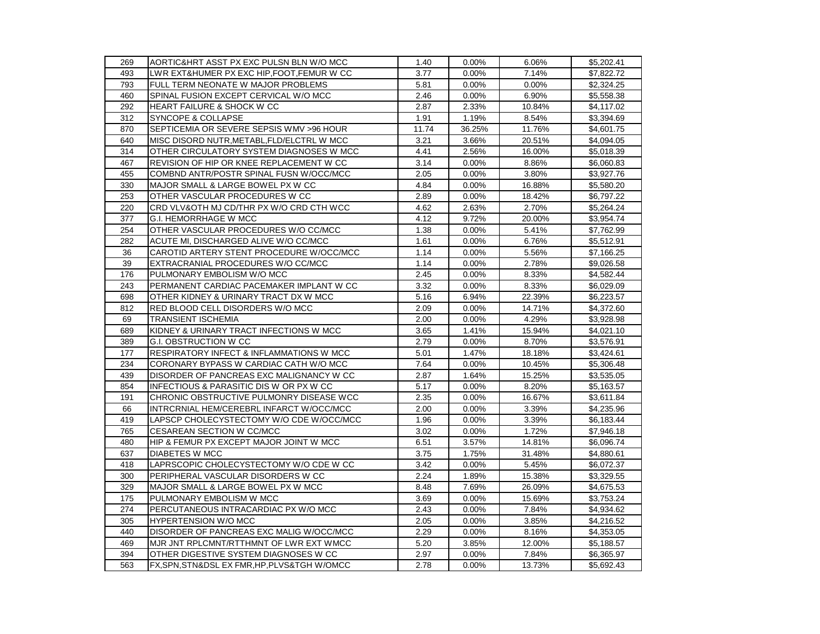| 269 | AORTIC&HRT ASST PX EXC PULSN BLN W/O MCC     | 1.40  | 0.00%  | 6.06%  | \$5,202.41 |
|-----|----------------------------------------------|-------|--------|--------|------------|
| 493 | LWR EXT&HUMER PX EXC HIP, FOOT, FEMUR W CC   | 3.77  | 0.00%  | 7.14%  | \$7,822.72 |
| 793 | FULL TERM NEONATE W MAJOR PROBLEMS           | 5.81  | 0.00%  | 0.00%  | \$2,324.25 |
| 460 | SPINAL FUSION EXCEPT CERVICAL W/O MCC        | 2.46  | 0.00%  | 6.90%  | \$5,558.38 |
| 292 | <b>HEART FAILURE &amp; SHOCK W CC</b>        | 2.87  | 2.33%  | 10.84% | \$4,117.02 |
| 312 | SYNCOPE & COLLAPSE                           | 1.91  | 1.19%  | 8.54%  | \$3,394.69 |
| 870 | SEPTICEMIA OR SEVERE SEPSIS WMV >96 HOUR     | 11.74 | 36.25% | 11.76% | \$4,601.75 |
| 640 | MISC DISORD NUTR, METABL, FLD/ELCTRL W MCC   | 3.21  | 3.66%  | 20.51% | \$4,094.05 |
| 314 | OTHER CIRCULATORY SYSTEM DIAGNOSES W MCC     | 4.41  | 2.56%  | 16.00% | \$5,018.39 |
| 467 | REVISION OF HIP OR KNEE REPLACEMENT W CC     | 3.14  | 0.00%  | 8.86%  | \$6,060.83 |
| 455 | COMBND ANTR/POSTR SPINAL FUSN W/OCC/MCC      | 2.05  | 0.00%  | 3.80%  | \$3,927.76 |
| 330 | MAJOR SMALL & LARGE BOWEL PX W CC            | 4.84  | 0.00%  | 16.88% | \$5,580.20 |
| 253 | OTHER VASCULAR PROCEDURES W CC               | 2.89  | 0.00%  | 18.42% | \$6,797.22 |
| 220 | CRD VLV&OTH MJ CD/THR PX W/O CRD CTH WCC     | 4.62  | 2.63%  | 2.70%  | \$5,264.24 |
| 377 | G.I. HEMORRHAGE W MCC                        | 4.12  | 9.72%  | 20.00% | \$3,954.74 |
| 254 | OTHER VASCULAR PROCEDURES W/O CC/MCC         | 1.38  | 0.00%  | 5.41%  | \$7,762.99 |
| 282 | ACUTE MI, DISCHARGED ALIVE W/O CC/MCC        | 1.61  | 0.00%  | 6.76%  | \$5,512.91 |
| 36  | CAROTID ARTERY STENT PROCEDURE W/OCC/MCC     | 1.14  | 0.00%  | 5.56%  | \$7,166.25 |
| 39  | EXTRACRANIAL PROCEDURES W/O CC/MCC           | 1.14  | 0.00%  | 2.78%  | \$9,026.58 |
| 176 | PULMONARY EMBOLISM W/O MCC                   | 2.45  | 0.00%  | 8.33%  | \$4,582.44 |
| 243 | PERMANENT CARDIAC PACEMAKER IMPLANT W CC     | 3.32  | 0.00%  | 8.33%  | \$6,029.09 |
| 698 | OTHER KIDNEY & URINARY TRACT DX W MCC        | 5.16  | 6.94%  | 22.39% | \$6,223.57 |
| 812 | RED BLOOD CELL DISORDERS W/O MCC             | 2.09  | 0.00%  | 14.71% | \$4,372.60 |
| 69  | <b>TRANSIENT ISCHEMIA</b>                    | 2.00  | 0.00%  | 4.29%  | \$3,928.98 |
| 689 | KIDNEY & URINARY TRACT INFECTIONS W MCC      | 3.65  | 1.41%  | 15.94% | \$4,021.10 |
| 389 | G.I. OBSTRUCTION W CC                        | 2.79  | 0.00%  | 8.70%  | \$3,576.91 |
| 177 | RESPIRATORY INFECT & INFLAMMATIONS W MCC     | 5.01  | 1.47%  | 18.18% | \$3,424.61 |
| 234 | CORONARY BYPASS W CARDIAC CATH W/O MCC       | 7.64  | 0.00%  | 10.45% | \$5,306.48 |
| 439 | DISORDER OF PANCREAS EXC MALIGNANCY W CC     | 2.87  | 1.64%  | 15.25% | \$3,535.05 |
| 854 | INFECTIOUS & PARASITIC DIS W OR PX W CC      | 5.17  | 0.00%  | 8.20%  | \$5,163.57 |
| 191 | CHRONIC OBSTRUCTIVE PULMONRY DISEASE WCC     | 2.35  | 0.00%  | 16.67% | \$3,611.84 |
| 66  | INTRCRNIAL HEM/CEREBRL INFARCT W/OCC/MCC     | 2.00  | 0.00%  | 3.39%  | \$4,235.96 |
| 419 | LAPSCP CHOLECYSTECTOMY W/O CDE W/OCC/MCC     | 1.96  | 0.00%  | 3.39%  | \$6,183.44 |
| 765 | CESAREAN SECTION W CC/MCC                    | 3.02  | 0.00%  | 1.72%  | \$7,946.18 |
| 480 | HIP & FEMUR PX EXCEPT MAJOR JOINT W MCC      | 6.51  | 3.57%  | 14.81% | \$6,096.74 |
| 637 | <b>DIABETES W MCC</b>                        | 3.75  | 1.75%  | 31.48% | \$4,880.61 |
| 418 | LAPRSCOPIC CHOLECYSTECTOMY W/O CDE W CC      | 3.42  | 0.00%  | 5.45%  | \$6,072.37 |
| 300 | PERIPHERAL VASCULAR DISORDERS W CC           | 2.24  | 1.89%  | 15.38% | \$3,329.55 |
| 329 | MAJOR SMALL & LARGE BOWEL PX W MCC           | 8.48  | 7.69%  | 26.09% | \$4,675.53 |
| 175 | PULMONARY EMBOLISM W MCC                     | 3.69  | 0.00%  | 15.69% | \$3,753.24 |
| 274 | PERCUTANEOUS INTRACARDIAC PX W/O MCC         | 2.43  | 0.00%  | 7.84%  | \$4,934.62 |
| 305 | <b>HYPERTENSION W/O MCC</b>                  | 2.05  | 0.00%  | 3.85%  | \$4,216.52 |
| 440 | DISORDER OF PANCREAS EXC MALIG W/OCC/MCC     | 2.29  | 0.00%  | 8.16%  | \$4,353.05 |
| 469 | MJR JNT RPLCMNT/RTTHMNT OF LWR EXT WMCC      | 5.20  | 3.85%  | 12.00% | \$5,188.57 |
| 394 | OTHER DIGESTIVE SYSTEM DIAGNOSES W CC        | 2.97  | 0.00%  | 7.84%  | \$6,365.97 |
| 563 | FX, SPN, STN&DSL EX FMR, HP, PLVS&TGH W/OMCC | 2.78  | 0.00%  | 13.73% | \$5,692.43 |